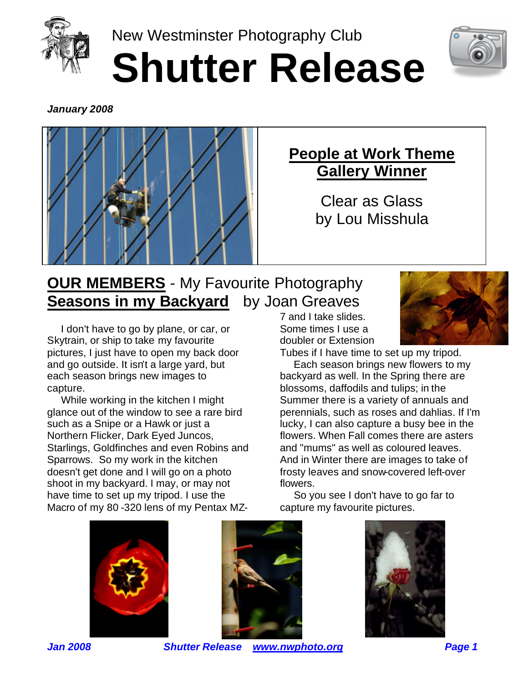

New Westminster Photography Club **Shutter Release**



*January 2008*



## **People at Work Theme Gallery Winner**

Clear as Glass by Lou Misshula

## **OUR MEMBERS** - My Favourite Photography **Seasons in my Backyard** by Joan Greaves

 I don't have to go by plane, or car, or Skytrain, or ship to take my favourite pictures, I just have to open my back door and go outside. It isn't a large yard, but each season brings new images to capture.

 While working in the kitchen I might glance out of the window to see a rare bird such as a Snipe or a Hawk or just a Northern Flicker, Dark Eyed Juncos, Starlings, Goldfinches and even Robins and Sparrows. So my work in the kitchen doesn't get done and I will go on a photo shoot in my backyard. I may, or may not have time to set up my tripod. I use the Macro of my 80 -320 lens of my Pentax MZ-

7 and I take slides. Some times I use a doubler or Extension



Tubes if I have time to set up my tripod.

 Each season brings new flowers to my backyard as well. In the Spring there are blossoms, daffodils and tulips; in the Summer there is a variety of annuals and perennials, such as roses and dahlias. If I'm lucky, I can also capture a busy bee in the flowers. When Fall comes there are asters and "mums" as well as coloured leaves. And in Winter there are images to take of frosty leaves and snow-covered left-over flowers.

 So you see I don't have to go far to capture my favourite pictures.







*Jan 2008 Shutter Release www.nwphoto.org Page 1*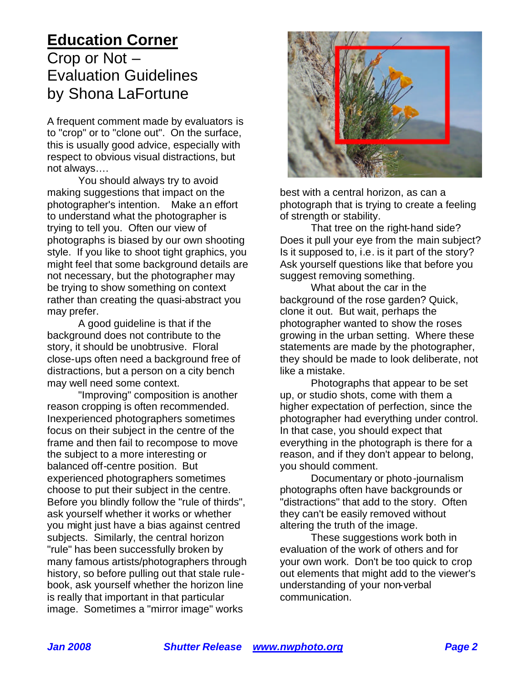#### **Education Corner** Crop or Not – Evaluation Guidelines

by Shona LaFortune

A frequent comment made by evaluators is to "crop" or to "clone out". On the surface, this is usually good advice, especially with respect to obvious visual distractions, but not always….

You should always try to avoid making suggestions that impact on the photographer's intention. Make an effort to understand what the photographer is trying to tell you. Often our view of photographs is biased by our own shooting style. If you like to shoot tight graphics, you might feel that some background details are not necessary, but the photographer may be trying to show something on context rather than creating the quasi-abstract you may prefer.

A good guideline is that if the background does not contribute to the story, it should be unobtrusive. Floral close-ups often need a background free of distractions, but a person on a city bench may well need some context.

"Improving" composition is another reason cropping is often recommended. Inexperienced photographers sometimes focus on their subject in the centre of the frame and then fail to recompose to move the subject to a more interesting or balanced off-centre position. But experienced photographers sometimes choose to put their subject in the centre. Before you blindly follow the "rule of thirds", ask yourself whether it works or whether you might just have a bias against centred subjects. Similarly, the central horizon "rule" has been successfully broken by many famous artists/photographers through history, so before pulling out that stale rulebook, ask yourself whether the horizon line is really that important in that particular image. Sometimes a "mirror image" works



best with a central horizon, as can a photograph that is trying to create a feeling of strength or stability.

That tree on the right-hand side? Does it pull your eye from the main subject? Is it supposed to, i.e. is it part of the story? Ask yourself questions like that before you suggest removing something.

What about the car in the background of the rose garden? Quick, clone it out. But wait, perhaps the photographer wanted to show the roses growing in the urban setting. Where these statements are made by the photographer, they should be made to look deliberate, not like a mistake.

Photographs that appear to be set up, or studio shots, come with them a higher expectation of perfection, since the photographer had everything under control. In that case, you should expect that everything in the photograph is there for a reason, and if they don't appear to belong, you should comment.

Documentary or photo-journalism photographs often have backgrounds or "distractions" that add to the story. Often they can't be easily removed without altering the truth of the image.

These suggestions work both in evaluation of the work of others and for your own work. Don't be too quick to crop out elements that might add to the viewer's understanding of your non-verbal communication.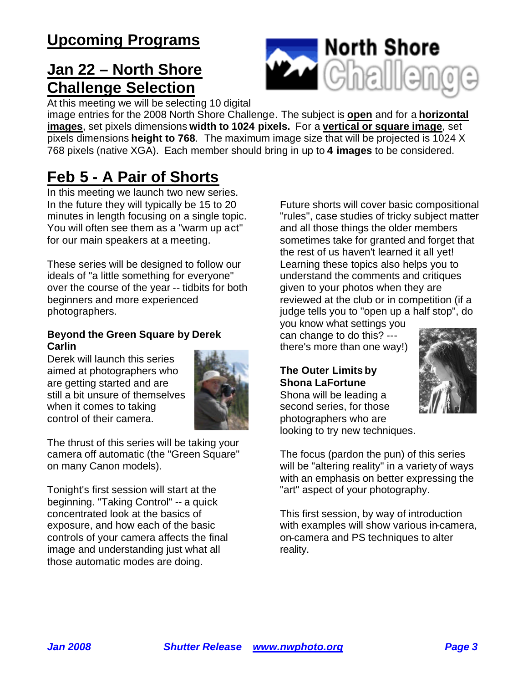### **Jan 22 – North Shore Challenge Selection**



At this meeting we will be selecting 10 digital

image entries for the 2008 North Shore Challenge. The subject is **open** and for a **horizontal images**, set pixels dimensions **width to 1024 pixels.** For a **vertical or square image**, set pixels dimensions **height to 768**. The maximum image size that will be projected is 1024 X 768 pixels (native XGA). Each member should bring in up to **4 images** to be considered.

### **Feb 5 - A Pair of Shorts**

In this meeting we launch two new series. In the future they will typically be 15 to 20 minutes in length focusing on a single topic. You will often see them as a "warm up act" for our main speakers at a meeting.

These series will be designed to follow our ideals of "a little something for everyone" over the course of the year -- tidbits for both beginners and more experienced photographers.

#### **Beyond the Green Square by Derek Carlin**

Derek will launch this series aimed at photographers who are getting started and are still a bit unsure of themselves when it comes to taking control of their camera.



The thrust of this series will be taking your camera off automatic (the "Green Square" on many Canon models).

Tonight's first session will start at the beginning. "Taking Control" -- a quick concentrated look at the basics of exposure, and how each of the basic controls of your camera affects the final image and understanding just what all those automatic modes are doing.

Future shorts will cover basic compositional "rules", case studies of tricky subject matter and all those things the older members sometimes take for granted and forget that the rest of us haven't learned it all yet! Learning these topics also helps you to understand the comments and critiques given to your photos when they are reviewed at the club or in competition (if a judge tells you to "open up a half stop", do

you know what settings you can change to do this? -- there's more than one way!)

#### **The Outer Limits by Shona LaFortune**

Shona will be leading a second series, for those photographers who are looking to try new techniques.



The focus (pardon the pun) of this series will be "altering reality" in a variety of ways with an emphasis on better expressing the "art" aspect of your photography.

This first session, by way of introduction with examples will show various in-camera, on-camera and PS techniques to alter reality.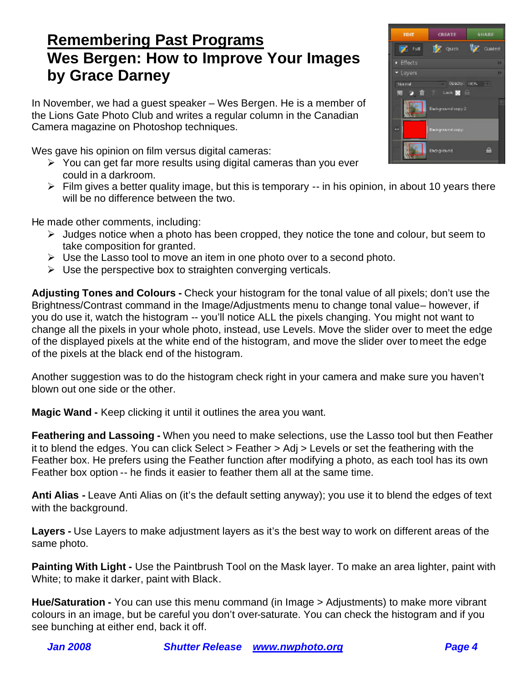#### **Remembering Past Programs Wes Bergen: How to Improve Your Images by Grace Darney**

In November, we had a guest speaker – Wes Bergen. He is a member of the Lions Gate Photo Club and writes a regular column in the Canadian Camera magazine on Photoshop techniques.

Wes gave his opinion on film versus digital cameras:

- $\triangleright$  You can get far more results using digital cameras than you ever could in a darkroom.
- $\triangleright$  Film gives a better quality image, but this is temporary -- in his opinion, in about 10 years there will be no difference between the two.

He made other comments, including:

- $\triangleright$  Judges notice when a photo has been cropped, they notice the tone and colour, but seem to take composition for granted.
- $\triangleright$  Use the Lasso tool to move an item in one photo over to a second photo.
- $\triangleright$  Use the perspective box to straighten converging verticals.

**Adjusting Tones and Colours -** Check your histogram for the tonal value of all pixels; don't use the Brightness/Contrast command in the Image/Adjustments menu to change tonal value– however, if you do use it, watch the histogram -- you'll notice ALL the pixels changing. You might not want to change all the pixels in your whole photo, instead, use Levels. Move the slider over to meet the edge of the displayed pixels at the white end of the histogram, and move the slider over to meet the edge of the pixels at the black end of the histogram.

Another suggestion was to do the histogram check right in your camera and make sure you haven't blown out one side or the other.

**Magic Wand -** Keep clicking it until it outlines the area you want.

**Feathering and Lassoing -** When you need to make selections, use the Lasso tool but then Feather it to blend the edges. You can click Select > Feather > Adj > Levels or set the feathering with the Feather box. He prefers using the Feather function after modifying a photo, as each tool has its own Feather box option -- he finds it easier to feather them all at the same time.

**Anti Alias -** Leave Anti Alias on (it's the default setting anyway); you use it to blend the edges of text with the background.

**Layers -** Use Layers to make adjustment layers as it's the best way to work on different areas of the same photo.

**Painting With Light -** Use the Paintbrush Tool on the Mask layer. To make an area lighter, paint with White; to make it darker, paint with Black.

**Hue/Saturation -** You can use this menu command (in Image > Adjustments) to make more vibrant colours in an image, but be careful you don't over-saturate. You can check the histogram and if you see bunching at either end, back it off.

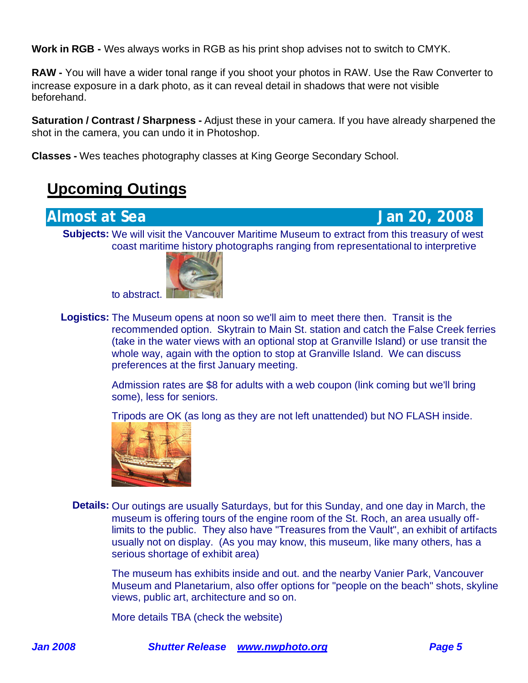**Work in RGB -** Wes always works in RGB as his print shop advises not to switch to CMYK.

**RAW -** You will have a wider tonal range if you shoot your photos in RAW. Use the Raw Converter to increase exposure in a dark photo, as it can reveal detail in shadows that were not visible beforehand.

**Saturation / Contrast / Sharpness -** Adjust these in your camera. If you have already sharpened the shot in the camera, you can undo it in Photoshop.

**Classes -** Wes teaches photography classes at King George Secondary School.

#### **Upcoming Outings**

**Almost at Sea Jan 20, 2008** 

**Subjects:** We will visit the Vancouver Maritime Museum to extract from this treasury of west coast maritime history photographs ranging from representational to interpretive



to abstract.

**Logistics:** The Museum opens at noon so we'll aim to meet there then. Transit is the recommended option. Skytrain to Main St. station and catch the False Creek ferries (take in the water views with an optional stop at Granville Island) or use transit the whole way, again with the option to stop at Granville Island. We can discuss preferences at the first January meeting.

> Admission rates are \$8 for adults with a web coupon (link coming but we'll bring some), less for seniors.

Tripods are OK (as long as they are not left unattended) but NO FLASH inside.



**Details:** Our outings are usually Saturdays, but for this Sunday, and one day in March, the museum is offering tours of the engine room of the St. Roch, an area usually offlimits to the public. They also have "Treasures from the Vault", an exhibit of artifacts usually not on display. (As you may know, this museum, like many others, has a serious shortage of exhibit area)

The museum has exhibits inside and out. and the nearby Vanier Park, Vancouver Museum and Planetarium, also offer options for "people on the beach" shots, skyline views, public art, architecture and so on.

More details TBA (check the website)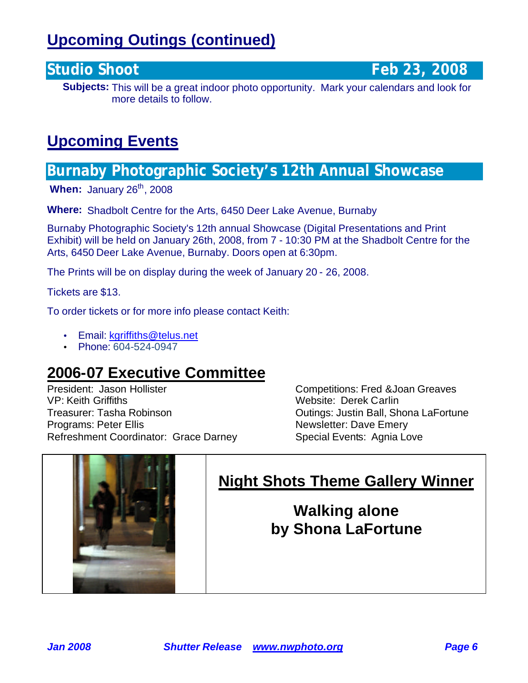## **Upcoming Outings (continued)**

**Studio Shoot Feb 23, 2008** 

**Subjects:** This will be a great indoor photo opportunity. Mark your calendars and look for more details to follow.

#### **Upcoming Events**

#### **Burnaby Photographic Society's 12th Annual Showcase**

**When: January 26<sup>th</sup>, 2008** 

**Where:** Shadbolt Centre for the Arts, 6450 Deer Lake Avenue, Burnaby

Burnaby Photographic Society's 12th annual Showcase (Digital Presentations and Print Exhibit) will be held on January 26th, 2008, from 7 - 10:30 PM at the Shadbolt Centre for the Arts, 6450 Deer Lake Avenue, Burnaby. Doors open at 6:30pm.

The Prints will be on display during the week of January 20 - 26, 2008.

Tickets are \$13.

To order tickets or for more info please contact Keith:

- Email: kgriffiths@telus.net
- Phone: 604-524-0947

#### **2006-07 Executive Committee**

President: Jason Hollister Competitions: Fred &Joan Greaves VP: Keith Griffiths Website: Derek Carlin Treasurer: Tasha Robinson **Casa and Treasurer: Tasha Robinson** Cutings: Justin Ball, Shona LaFortune Programs: Peter Ellis Newsletter: Dave Emery Refreshment Coordinator: Grace Darney Special Events: Agnia Love



### **Night Shots Theme Gallery Winner**

**Walking alone by Shona LaFortune**